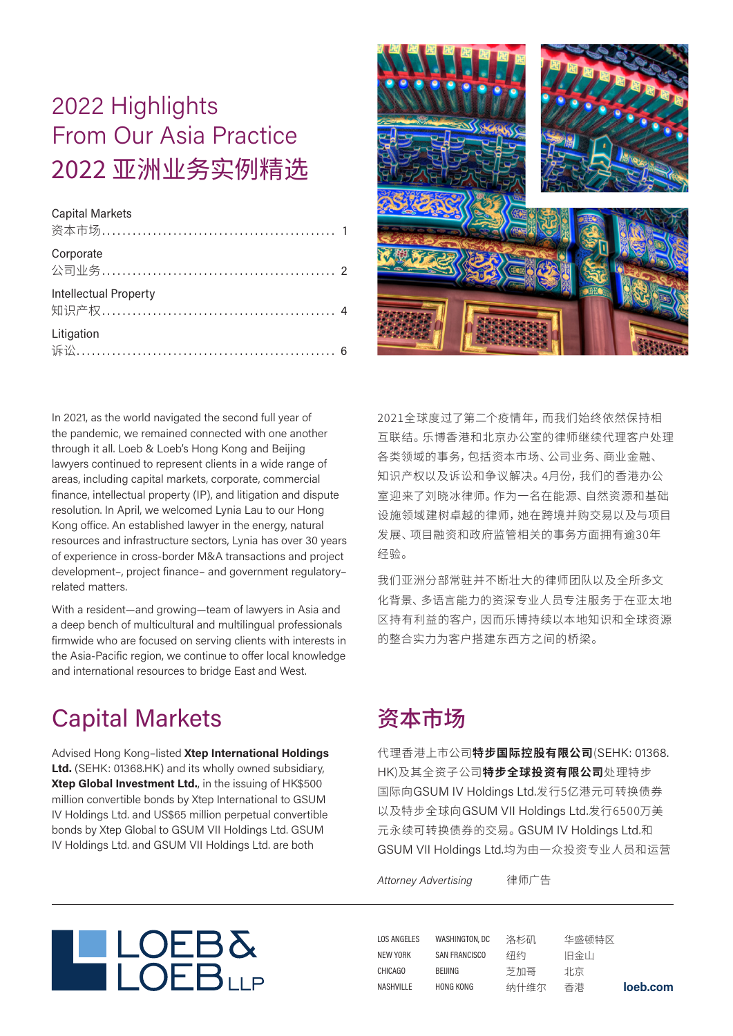# 2022 Highlights From Our Asia Practice 2022 亚洲业务实例精选

#### Capital Markets

| 资本市场…………………………………………… 1                                  |  |
|----------------------------------------------------------|--|
| Corporate<br>公司业务……………………………………………… 2                    |  |
| <b>Intellectual Property</b><br>知识产权……………………………………………… 4 |  |
| Litigation                                               |  |



In 2021, as the world navigated the second full year of the pandemic, we remained connected with one another through it all. Loeb & Loeb's Hong Kong and Beijing lawyers continued to represent clients in a wide range of areas, including capital markets, corporate, commercial finance, intellectual property (IP), and litigation and dispute resolution. In April, we welcomed Lynia Lau to our Hong Kong office. An established lawyer in the energy, natural resources and infrastructure sectors, Lynia has over 30 years of experience in cross-border M&A transactions and project development–, project finance– and government regulatory– related matters.

With a resident—and growing—team of lawyers in Asia and a deep bench of multicultural and multilingual professionals firmwide who are focused on serving clients with interests in the Asia-Pacific region, we continue to offer local knowledge and international resources to bridge East and West.

## Capital Markets

Advised Hong Kong–listed **Xtep International Holdings Ltd.** (SEHK: 01368.HK) and its wholly owned subsidiary, **Xtep Global Investment Ltd.**, in the issuing of HK\$500 million convertible bonds by Xtep International to GSUM IV Holdings Ltd. and US\$65 million perpetual convertible bonds by Xtep Global to GSUM VII Holdings Ltd. GSUM IV Holdings Ltd. and GSUM VII Holdings Ltd. are both

2021全球度过了第二个疫情年,而我们始终依然保持相 互联结。乐博香港和北京办公室的律师继续代理客户处理 各类领域的事务,包括资本市场、公司业务、商业金融、 知识产权以及诉讼和争议解决。4月份,我们的香港办公 室迎来了刘晓冰律师。作为一名在能源、自然资源和基础 设施领域建树卓越的律师,她在跨境并购交易以及与项目 发展、项目融资和政府监管相关的事务方面拥有逾30年 经验。

我们亚洲分部常并不断壮大的律师团队以及全所多文 化背景、多语言能力的资深专业人员专注服务于在亚太地 区持有利益的客户,因而乐博持续以本地知识和全球资源 的整合实力为客户搭建东西方之间的桥梁。

## 资本市场

代理香港上市公司**特步国际控股有限公司**(SEHK: 01368. HK)及其全资子公司**特步全球投资有限公司**处理特步 国际向GSUM IV Holdings Ltd.发行5亿港元可转换债券 以及特步全球向GSUM VII Holdings Ltd.发行6500万美 元永续可转换债券的交易。GSUM IV Holdings Ltd.和 GSUM VII Holdings Ltd.均为由一众投资专业人员和运营

*Attorney Advertising* 律师广告



**loeb.com** LOS ANGELES NEW YORK CHICAGO **NASHVILLE** WASHINGTON, DC SAN FRANCISCO BEIJING HONG KONG 洛杉矶 纽约 芝加哥 纳什维尔 华盛顿特区 旧金山 北京 香港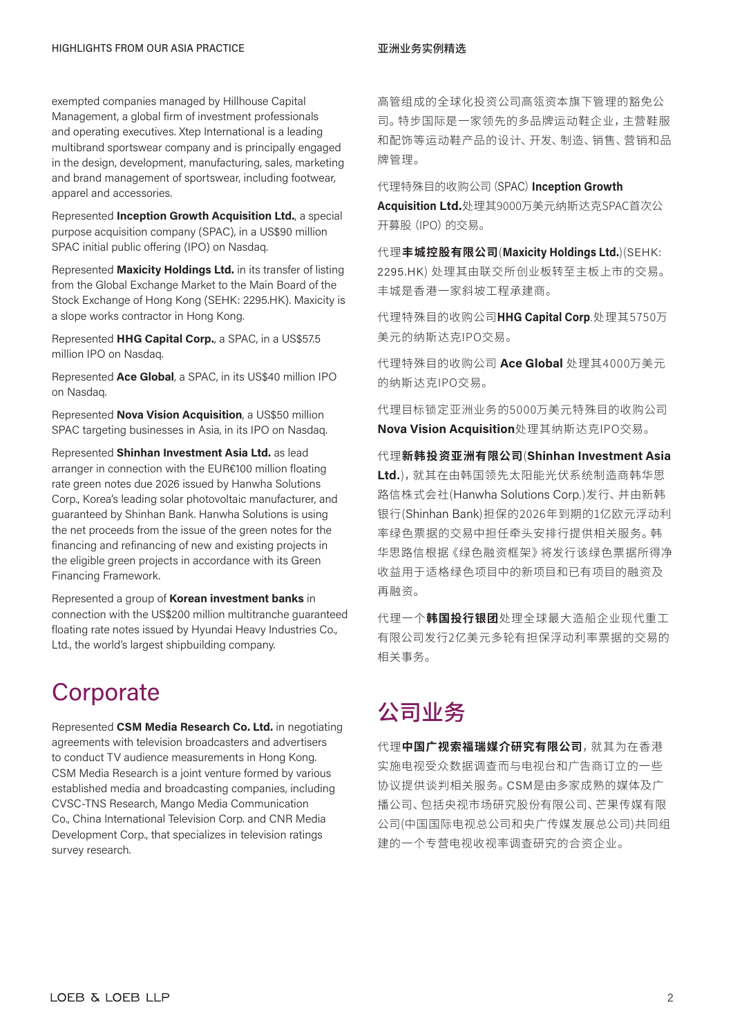exempted companies managed by Hillhouse Capital Management, a global firm of investment professionals and operating executives. Xtep International is a leading multibrand sportswear company and is principally engaged in the design, development, manufacturing, sales, marketing and brand management of sportswear, including footwear, apparel and accessories.

Represented **Inception Growth Acquisition Ltd.**, a special purpose acquisition company (SPAC), in a US\$90 million SPAC initial public offering (IPO) on Nasdaq.

Represented **Maxicity Holdings Ltd.** in its transfer of listing from the Global Exchange Market to the Main Board of the Stock Exchange of Hong Kong (SEHK: 2295.HK). Maxicity is a slope works contractor in Hong Kong.

Represented **HHG Capital Corp.**, a SPAC, in a US\$57.5 million IPO on Nasdaq.

Represented **Ace Global**, a SPAC, in its US\$40 million IPO on Nasdaq.

Represented **Nova Vision Acquisition**, a US\$50 million SPAC targeting businesses in Asia, in its IPO on Nasdaq.

Represented **Shinhan Investment Asia Ltd.** as lead arranger in connection with the EUR€100 million floating rate green notes due 2026 issued by Hanwha Solutions Corp., Korea's leading solar photovoltaic manufacturer, and guaranteed by Shinhan Bank. Hanwha Solutions is using the net proceeds from the issue of the green notes for the financing and refinancing of new and existing projects in the eligible green projects in accordance with its Green Financing Framework.

Represented a group of **Korean investment banks** in connection with the US\$200 million multitranche guaranteed floating rate notes issued by Hyundai Heavy Industries Co., Ltd., the world's largest shipbuilding company.

### **Corporate**

Represented **CSM Media Research Co. Ltd.** in negotiating agreements with television broadcasters and advertisers to conduct TV audience measurements in Hong Kong. CSM Media Research is a joint venture formed by various established media and broadcasting companies, including CVSC-TNS Research, Mango Media Communication Co., China International Television Corp. and CNR Media Development Corp., that specializes in television ratings survey research.

高管组成的全球化投资公司高瓴资本旗下管理的豁免公 司。特步国际是一家领先的多品牌运动鞋企业,主营鞋服 和配饰等运动鞋产品的设计、开发、制造、销售、营销和品 牌管理。

代理特殊目的收购公司(SPAC)**Inception Growth** 

**Acquisition Ltd.**处理其9000万美元纳斯达克SPAC首次公 开募股(IPO)的交易。

代理**丰城控股有限公司**(**Maxicity Holdings Ltd.**)(SEHK: 2295.HK) 处理其由联交所创业板转至主板上市的交易。 丰城是香港一家斜坡工程承建商。

代理特殊目的收购公司**HHG Capital Corp**.处理其5750万 美元的纳斯达克IPO交易。

代理特殊目的收购公司 **Ace Global** 处理其4000万美元 的纳斯达克IPO交易。

代理目标锁定亚洲业务的5000万美元特殊目的收购公司 **Nova Vision Acquisition**处理其纳斯达克IPO交易。

代理**新韩投资亚洲有限公司**(**Shinhan Investment Asia Ltd.**),就其在由韩国领先太阳能光伏系统制造商韩华思 路信株式会社(Hanwha Solutions Corp.)发行、并由新韩 银行(Shinhan Bank)担保的2026年到期的1亿欧元浮动利 率绿色票据的交易中担任牵头安排行提供相关服务。韩 华思路信根据《绿色融资框架》将发行该绿色票据所得净 收益用于适格绿色项目中的新项目和已有项目的融资及 再融资。

代理一个**韩国投行银团**处理全球最大造船企业现代重工 有限公司发行2亿美元多轮有担保浮动利率票据的交易的 相关事务。

## 公司业务

代理**中国广视索福瑞媒介研究有限公司**,就其为在香港 实施电视受众数据调查而与电视台和广告商订立的一些 协议提供谈判相关服务。CSM是由多家成熟的媒体及广 播公司、包括央视市场研究股份有限公司、芒果传媒有限 公司(中国国际电视总公司和央广传媒发展总公司)共同组 建的一个专营电视收视率调查研究的合资企业。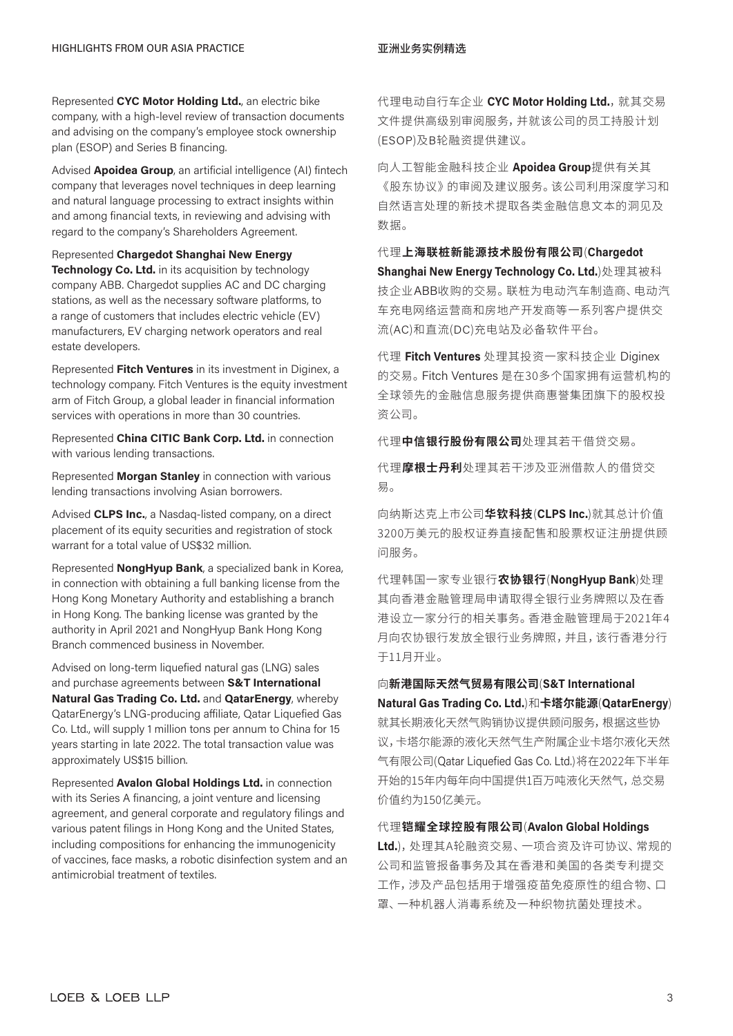Represented **CYC Motor Holding Ltd.**, an electric bike company, with a high-level review of transaction documents and advising on the company's employee stock ownership plan (ESOP) and Series B financing.

Advised **Apoidea Group**, an artificial intelligence (AI) fintech company that leverages novel techniques in deep learning and natural language processing to extract insights within and among financial texts, in reviewing and advising with regard to the company's Shareholders Agreement.

### Represented **Chargedot Shanghai New Energy**

**Technology Co. Ltd.** in its acquisition by technology company ABB. Chargedot supplies AC and DC charging stations, as well as the necessary software platforms, to a range of customers that includes electric vehicle (EV) manufacturers, EV charging network operators and real estate developers.

Represented **Fitch Ventures** in its investment in Diginex, a technology company. Fitch Ventures is the equity investment arm of Fitch Group, a global leader in financial information services with operations in more than 30 countries.

Represented **China CITIC Bank Corp. Ltd.** in connection with various lending transactions.

Represented **Morgan Stanley** in connection with various lending transactions involving Asian borrowers.

Advised **CLPS Inc.**, a Nasdaq-listed company, on a direct placement of its equity securities and registration of stock warrant for a total value of US\$32 million.

Represented **NongHyup Bank**, a specialized bank in Korea, in connection with obtaining a full banking license from the Hong Kong Monetary Authority and establishing a branch in Hong Kong. The banking license was granted by the authority in April 2021 and NongHyup Bank Hong Kong Branch commenced business in November.

Advised on long-term liquefied natural gas (LNG) sales and purchase agreements between **S&T International Natural Gas Trading Co. Ltd.** and **QatarEnergy**, whereby QatarEnergy's LNG-producing affiliate, Qatar Liquefied Gas Co. Ltd., will supply 1 million tons per annum to China for 15 years starting in late 2022. The total transaction value was approximately US\$15 billion.

Represented **Avalon Global Holdings Ltd.** in connection with its Series A financing, a joint venture and licensing agreement, and general corporate and regulatory filings and various patent filings in Hong Kong and the United States, including compositions for enhancing the immunogenicity of vaccines, face masks, a robotic disinfection system and an antimicrobial treatment of textiles.

代理电动自行车企业 CYC Motor Holding Ltd., 就其交易 文件提供高级别审阅服务,并就该公司的员工持股计划 (ESOP)及B轮融资提供建议。

向人工智能金融科技企业 **Apoidea Group**提供有关其 《股东协议》的审阅及建议服务。该公司利用深度学习和 自然语言处理的新技术提取各类金融信息文本的洞见及 数据。

代理**上海联桩新能源技术股份有限公司**(**Chargedot Shanghai New Energy Technology Co. Ltd.**)处理其被科 技企业ABB收购的交易。联桩为电动汽车制造商、电动汽 车充电网络运营商和房地产开发商等一系列客户提供交 流(AC)和直流(DC)充电站及必备软件平台。

代理 **Fitch Ventures** 处理其投资一家科技企业 Diginex 的交易。Fitch Ventures 是在30多个国家拥有运营机构的 全球领先的金融信息服务提供商惠誉集团旗下的股权投 资公司。

代理**中信银行股份有限公司**处理其若干借贷交易。

代理**摩根士丹利**处理其若干涉及亚洲借款人的借贷交 易。

向纳斯达克上市公司**华钦科技**(**CLPS Inc.**)就其总计价值 3200万美元的股权证券直接配售和股票权证注册提供顾 问服务。

代理韩国一家专业银行**农协银行**(**NongHyup Bank**)处理 其向香港金融管理局申请取得全银行业务牌照以及在香 港设立一家分行的相关事务。香港金融管理局于2021年4 月向农协银行发放全银行业务牌照,并且,该行香港分行 于11月开业。

### 向**新港国际天然气贸易有限公司**(**S&T International**

**Natural Gas Trading Co. Ltd.**)和**卡塔尔能源**(**QatarEnergy**) 就其长期液化天然气购销协议提供顾问服务,根据这些协 议,卡塔尔能源的液化天然气生产附属企业卡塔尔液化天然 气有限公司(Qatar Liquefied Gas Co. Ltd.)将在2022年下半年 开始的15年内每年向中国提供1百万吨液化天然气,总交易 价值约为150亿美元。

### 代理**铠耀全球控股有限公司**(**Avalon Global Holdings**

**Ltd.**),处理其A轮融资交易、一项合资及许可协议、常规的 公司和监管报备事务及其在香港和美国的各类专利提交 工作,涉及产品包括用于增强疫苗免疫原性的组合物、口 罩、一种机器人消毒系统及一种织物抗菌处理技术。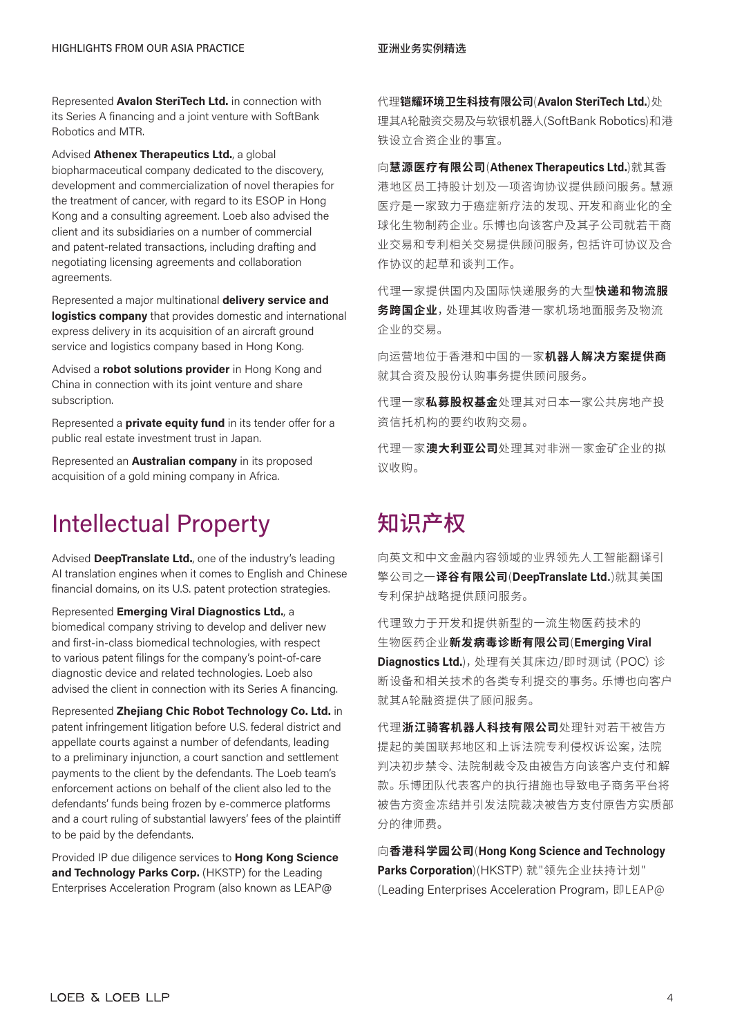Represented **Avalon SteriTech Ltd.** in connection with its Series A financing and a joint venture with SoftBank Robotics and MTR.

Advised **Athenex Therapeutics Ltd.**, a global biopharmaceutical company dedicated to the discovery, development and commercialization of novel therapies for the treatment of cancer, with regard to its ESOP in Hong Kong and a consulting agreement. Loeb also advised the client and its subsidiaries on a number of commercial and patent-related transactions, including drafting and negotiating licensing agreements and collaboration agreements.

Represented a major multinational **delivery service and logistics company** that provides domestic and international express delivery in its acquisition of an aircraft ground service and logistics company based in Hong Kong.

Advised a **robot solutions provider** in Hong Kong and China in connection with its joint venture and share subscription.

Represented a **private equity fund** in its tender offer for a public real estate investment trust in Japan.

Represented an **Australian company** in its proposed acquisition of a gold mining company in Africa.

### Intellectual Property

Advised **DeepTranslate Ltd.**, one of the industry's leading AI translation engines when it comes to English and Chinese financial domains, on its U.S. patent protection strategies.

Represented **Emerging Viral Diagnostics Ltd.**, a biomedical company striving to develop and deliver new and first-in-class biomedical technologies, with respect to various patent filings for the company's point-of-care diagnostic device and related technologies. Loeb also advised the client in connection with its Series A financing.

Represented **Zhejiang Chic Robot Technology Co. Ltd.** in patent infringement litigation before U.S. federal district and appellate courts against a number of defendants, leading to a preliminary injunction, a court sanction and settlement payments to the client by the defendants. The Loeb team's enforcement actions on behalf of the client also led to the defendants' funds being frozen by e-commerce platforms and a court ruling of substantial lawyers' fees of the plaintiff to be paid by the defendants.

Provided IP due diligence services to **Hong Kong Science and Technology Parks Corp.** (HKSTP) for the Leading Enterprises Acceleration Program (also known as LEAP@

代理**铠耀环境卫生科技有限公司**(**Avalon SteriTech Ltd.**)处 理其A轮融资交易及与软银机器人(SoftBank Robotics)和港 铁设立合资企业的事宜。

向**慧源医疗有限公司**(**Athenex Therapeutics Ltd.**)就其香 港地区员工持股计划及一项咨询协议提供顾问服务。慧源 医疗是一家致力于癌症新疗法的发现、开发和商业化的全 球化生物制药企业。乐博也向该客户及其子公司就若干商 业交易和专利相关交易提供顾问服务,包括许可协议及合 作协议的起草和谈判工作。

代理一家提供国内及国际快递服务的大型**快递和物流服 务跨国企业**,处理其收购香港一家机场地面服务及物流 企业的交易。

向运营地位于香港和中国的一家**机器人解决方案提供商** 就其合资及股份认购事务提供顾问服务。

代理一家**私募股权基金**处理其对日本一家公共房地产投 资信托机构的要约收购交易。

代理一家**澳大利亚公司**处理其对非洲一家金矿企业的拟 议收购。

## 知识产权

向英文和中文金融内容领域的业界领先人工智能翻译引 擎公司之一**译谷有限公司**(**DeepTranslate Ltd.**)就其美国 专利保护战略提供顾问服务。

代理致力于开发和提供新型的一流生物医药技术的 生物医药企业**新发病毒诊断有限公司**(**Emerging Viral Diagnostics Ltd.**),处理有关其床边/即时测试(POC)诊 断设备和相关技术的各类专利提交的事务。乐博也向客户 就其A轮融资提供了顾问服务。

代理**浙江骑客机器人科技有限公司**处理针对若干被告方 提起的美国联邦地区和上诉法院专利侵权诉讼案,法院 判决初步禁令、法院制裁令及由被告方向该客户支付和解 款。乐博团队代表客户的执行措施也导致电子商务平台将 被告方资金冻结并引发法院裁决被告方支付原告方实质部 分的律师费。

向**香港科学园公司**(**Hong Kong Science and Technology Parks Corporation**)(HKSTP) 就"领先企业扶持计划" (Leading Enterprises Acceleration Program, 即LEAP@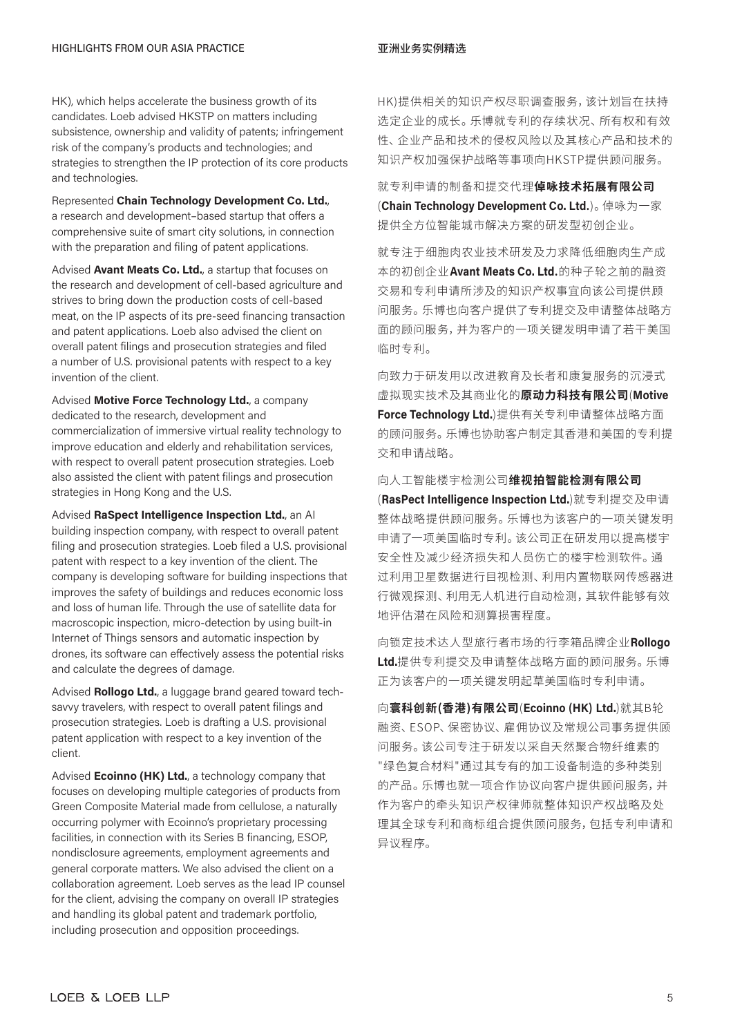HK), which helps accelerate the business growth of its candidates. Loeb advised HKSTP on matters including subsistence, ownership and validity of patents; infringement risk of the company's products and technologies; and strategies to strengthen the IP protection of its core products and technologies.

Represented **Chain Technology Development Co. Ltd.**, a research and development–based startup that offers a comprehensive suite of smart city solutions, in connection with the preparation and filing of patent applications.

Advised **Avant Meats Co. Ltd.**, a startup that focuses on the research and development of cell-based agriculture and strives to bring down the production costs of cell-based meat, on the IP aspects of its pre-seed financing transaction and patent applications. Loeb also advised the client on overall patent filings and prosecution strategies and filed a number of U.S. provisional patents with respect to a key invention of the client.

Advised **Motive Force Technology Ltd.**, a company dedicated to the research, development and commercialization of immersive virtual reality technology to improve education and elderly and rehabilitation services, with respect to overall patent prosecution strategies. Loeb also assisted the client with patent filings and prosecution strategies in Hong Kong and the U.S.

Advised **RaSpect Intelligence Inspection Ltd.**, an AI building inspection company, with respect to overall patent filing and prosecution strategies. Loeb filed a U.S. provisional patent with respect to a key invention of the client. The company is developing software for building inspections that improves the safety of buildings and reduces economic loss and loss of human life. Through the use of satellite data for macroscopic inspection, micro-detection by using built-in Internet of Things sensors and automatic inspection by drones, its software can effectively assess the potential risks and calculate the degrees of damage.

Advised **Rollogo Ltd.**, a luggage brand geared toward techsavvy travelers, with respect to overall patent filings and prosecution strategies. Loeb is drafting a U.S. provisional patent application with respect to a key invention of the client.

Advised **Ecoinno (HK) Ltd.**, a technology company that focuses on developing multiple categories of products from Green Composite Material made from cellulose, a naturally occurring polymer with Ecoinno's proprietary processing facilities, in connection with its Series B financing, ESOP, nondisclosure agreements, employment agreements and general corporate matters. We also advised the client on a collaboration agreement. Loeb serves as the lead IP counsel for the client, advising the company on overall IP strategies and handling its global patent and trademark portfolio, including prosecution and opposition proceedings.

HK)提供相关的知识产权尽职调查服务,该计划旨在扶持 选定企业的成长。乐博就专利的存续状况、所有权和有效 性、企业产品和技术的侵权风险以及其核心产品和技术的 知识产权加强保护战略等事项向HKSTP提供顾问服务。

就专利申请的制备和提交代理**倬咏技术拓展有限公司** (**Chain Technology Development Co. Ltd.**)。倬咏为一家 提供全方位智能城市解决方案的研发型初创企业。

就专注于细胞肉农业技术研发及力求降低细胞肉生产成 本的初创企业**Avant Meats Co. Ltd.**的种子轮之前的融资 交易和专利申请所涉及的知识产权事宜向该公司提供顾 问服务。乐博也向客户提供了专利提交及申请整体战略方 面的顾问服务,并为客户的一项关键发明申请了若干美国 临时专利。

向致力于研发用以改进教育及长者和康复服务的沉浸式 虚拟现实技术及其商业化的**原动力科技有限公司**(**Motive Force Technology Ltd.**)提供有关专利申请整体战略方面 的顾问服务。乐博也协助客户制定其香港和美国的专利提 交和申请战略。

### 向人工智能楼宇检测公司**维视拍智能检测有限公司**

(**RasPect Intelligence Inspection Ltd.**)就专利提交及申请 整体战略提供顾问服务。乐博也为该客户的一项关键发明 申请了一项美国临时专利。该公司正在研发用以提高楼宇 安全性及减少经济损失和人员伤亡的楼宇检测软件。通 过利用卫星数据进行目视检测、利用内置物联网传感器进 行微观探测、利用无人机进行自动检测,其软件能够有效 地评估潜在风险和测算损害程度。

向锁定技术达人型旅行者市场的行李箱品牌企业**Rollogo Ltd.**提供专利提交及申请整体战略方面的顾问服务。乐博 正为该客户的一项关键发明起草美国临时专利申请。

向**寰科创新(香港)有限公司**(**Ecoinno (HK) Ltd.**)就其B轮 融资、ESOP、保密协议、雇佣协议及常规公司事务提供顾 问服务。该公司专注于研发以采自天然聚合物纤维素的 "绿色复合材料"通过其专有的加工设备制造的多种类别 的产品。乐博也就一项合作协议向客户提供顾问服务,并 作为客户的牵头知识产权律师就整体知识产权战略及处 理其全球专利和商标组合提供顾问服务,包括专利申请和 异议程序。